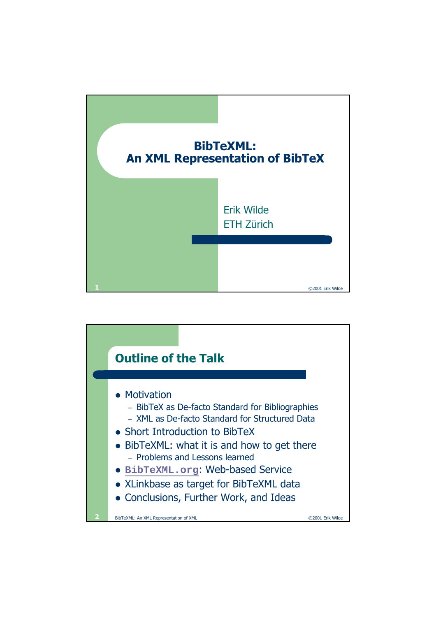

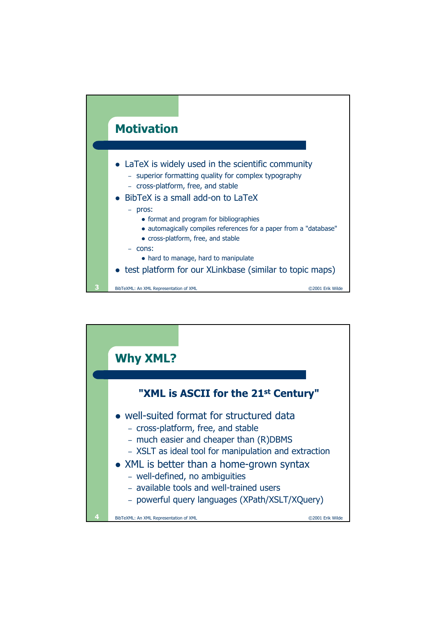

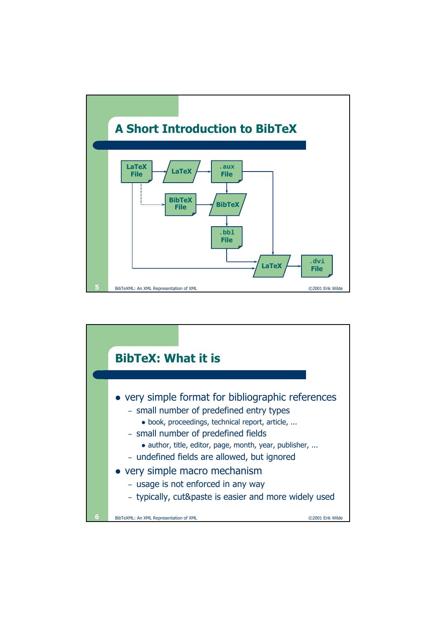

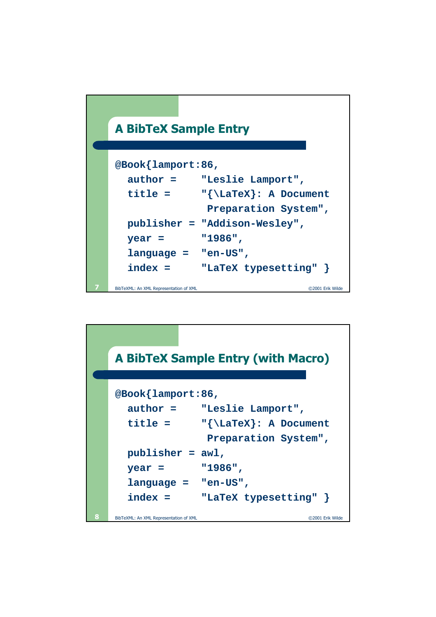

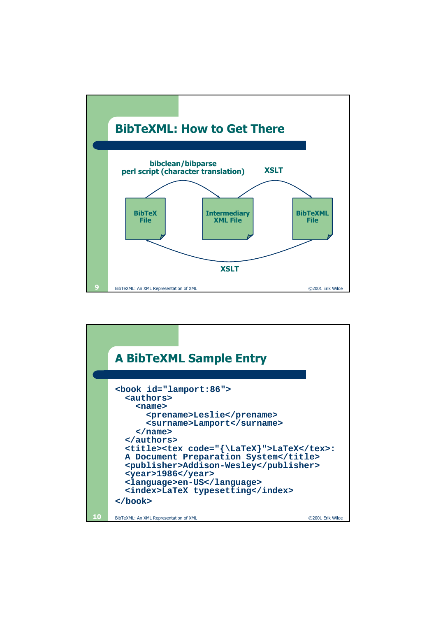

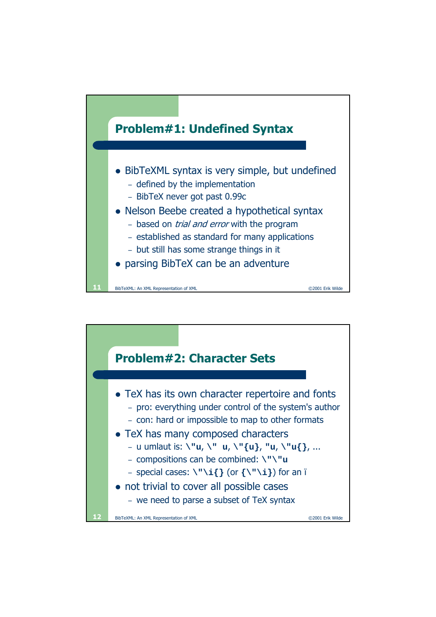

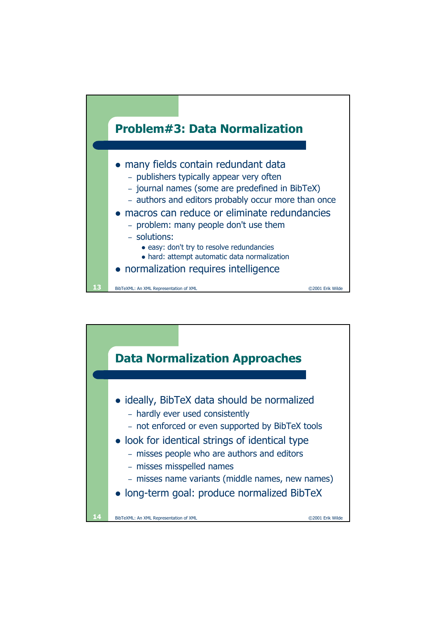

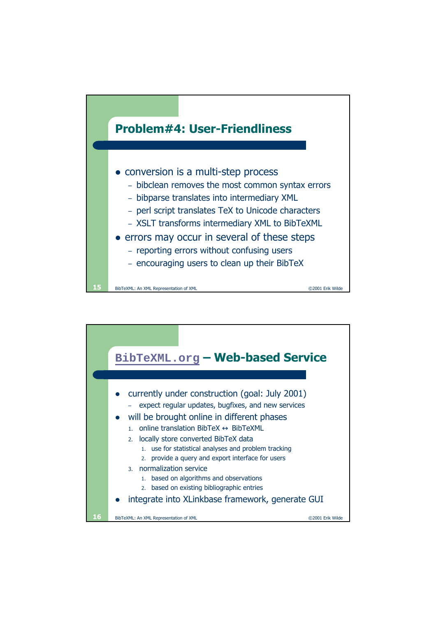

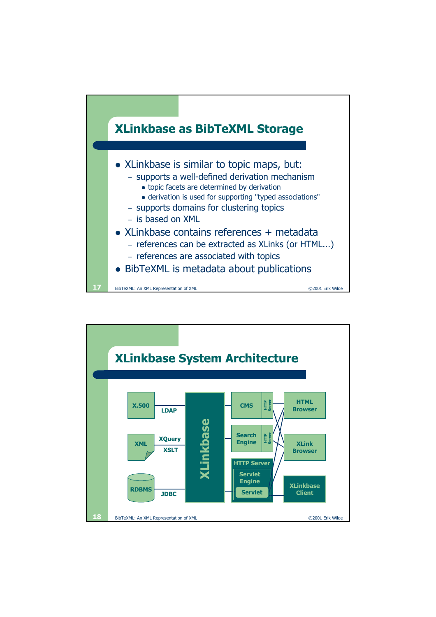

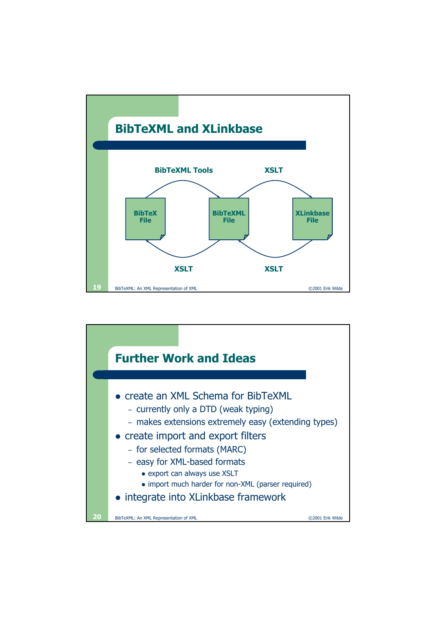